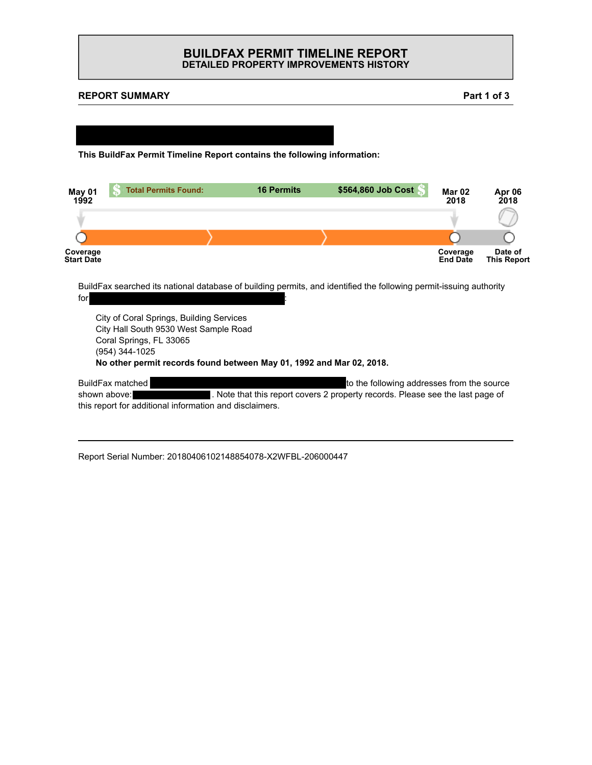## **BUILDFAX PERMIT TIMELINE REPORT DETAILED PROPERTY IMPROVEMENTS HISTORY**

### **REPORT SUMMARY**



**This BuildFax Permit Timeline Report contains the following information:**

| May 01<br>1992                | <b>Total Permits Found:</b> | <b>16 Permits</b> | \$564,860 Job Cost | <b>Mar 02</b><br>2018       | Apr 06<br>2018                |
|-------------------------------|-----------------------------|-------------------|--------------------|-----------------------------|-------------------------------|
|                               |                             |                   |                    |                             |                               |
|                               |                             |                   |                    |                             |                               |
| <b>Coverage</b><br>Start Date |                             |                   |                    | Coverage<br><b>End Date</b> | Date of<br><b>This Report</b> |

BuildFax searched its national database of building permits, and identified the following permit-issuing authority for  $227$  NW 127 NW 127 NW 127 NW 127 NW 127 NW 127 NW 127 NW 127 NW 127 NW 127 NW 137 NW 137 NW 137 NW 137 NW 137 NW 137 NW 137 NW 137 NW 137 NW 137 NW 137 NW 137 NW 137 NW 137 NW 137 NW 137 NW 137 NW 137 NW 137 NW 137 N

City of Coral Springs, Building Services City Hall South 9530 West Sample Road Coral Springs, FL 33065 (954) 344-1025 **No other permit records found between May 01, 1992 and Mar 02, 2018.**

BuildFax matched 227 NW 127 NW 127 NW 127 NW 127 NW 127 NW 127 NW 127 NW 127 NW 127 NW 127 NW 127 NW 127 NW 12 shown above: 227 Note that this report covers 2 property records. Please see the last page of this report for additional information and disclaimers.

Report Serial Number: 20180406102148854078-X2WFBL-206000447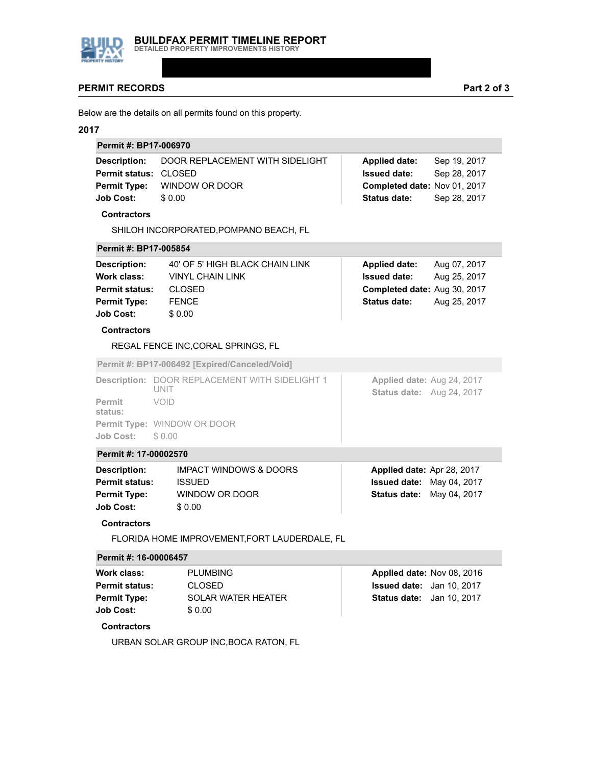

### **PERMIT RECORDS**

Below are the details on all permits found on this property.

#### **2017**

| Permit #: BP17-006970        |                                                     |                              |              |  |
|------------------------------|-----------------------------------------------------|------------------------------|--------------|--|
|                              | <b>Description:</b> DOOR REPLACEMENT WITH SIDELIGHT | <b>Applied date:</b>         | Sep 19, 2017 |  |
| <b>Permit status: CLOSED</b> |                                                     | <b>Issued date:</b>          | Sep 28, 2017 |  |
| <b>Permit Type:</b>          | WINDOW OR DOOR                                      | Completed date: Nov 01, 2017 |              |  |
| <b>Job Cost:</b>             | \$0.00                                              | <b>Status date:</b>          | Sep 28, 2017 |  |

#### **Contractors**

SHILOH INCORPORATED,POMPANO BEACH, FL

#### **Permit #: BP17-005854**

| Description:          | 40' OF 5' HIGH BLACK CHAIN LINK | <b>Applied date:</b><br>Aug 07, 2017 |
|-----------------------|---------------------------------|--------------------------------------|
| Work class:           | <b>VINYL CHAIN LINK</b>         | <b>Issued date:</b><br>Aug 25, 2017  |
| <b>Permit status:</b> | <b>CLOSED</b>                   | Completed date: Aug 30, 2017         |
| <b>Permit Type:</b>   | <b>FENCE</b>                    | <b>Status date:</b><br>Aug 25, 2017  |
| <b>Job Cost:</b>      | \$0.00                          |                                      |

#### **Contractors**

REGAL FENCE INC,CORAL SPRINGS, FL

**Permit #: BP17-006492 [Expired/Canceled/Void]**

|                          | <b>Description: DOOR REPLACEMENT WITH SIDELIGHT 1</b><br>unit | Applied date: Aug 24, 2017<br><b>Status date:</b> Aug 24, 2017 |
|--------------------------|---------------------------------------------------------------|----------------------------------------------------------------|
| <b>Permit</b><br>status: | VOID                                                          |                                                                |
|                          | <b>Permit Type: WINDOW OR DOOR</b>                            |                                                                |
| Job Cost:                | \$ 0.00                                                       |                                                                |

#### **Permit #: 17-00002570**

| <b>Description:</b>   | <b>IMPACT WINDOWS &amp; DOORS</b> | Applied date: Apr 28, 2017       |
|-----------------------|-----------------------------------|----------------------------------|
| <b>Permit status:</b> | <b>ISSUED</b>                     | <b>Issued date: May 04, 2017</b> |
| <b>Permit Type:</b>   | WINDOW OR DOOR                    | <b>Status date: May 04, 2017</b> |
| <b>Job Cost:</b>      | \$0.00                            |                                  |
|                       |                                   |                                  |

#### **Contractors**

FLORIDA HOME IMPROVEMENT,FORT LAUDERDALE, FL

#### **Permit #: 16-00006457**

| Work class:           | <b>PLUMBING</b>           | Applied date: Nov 08, 2016       |  |
|-----------------------|---------------------------|----------------------------------|--|
| <b>Permit status:</b> | CLOSED.                   | <b>Issued date:</b> Jan 10, 2017 |  |
| <b>Permit Type:</b>   | <b>SOLAR WATER HEATER</b> | <b>Status date:</b> Jan 10, 2017 |  |
| <b>Job Cost:</b>      | \$0.00                    |                                  |  |

## **Contractors**

URBAN SOLAR GROUP INC,BOCA RATON, FL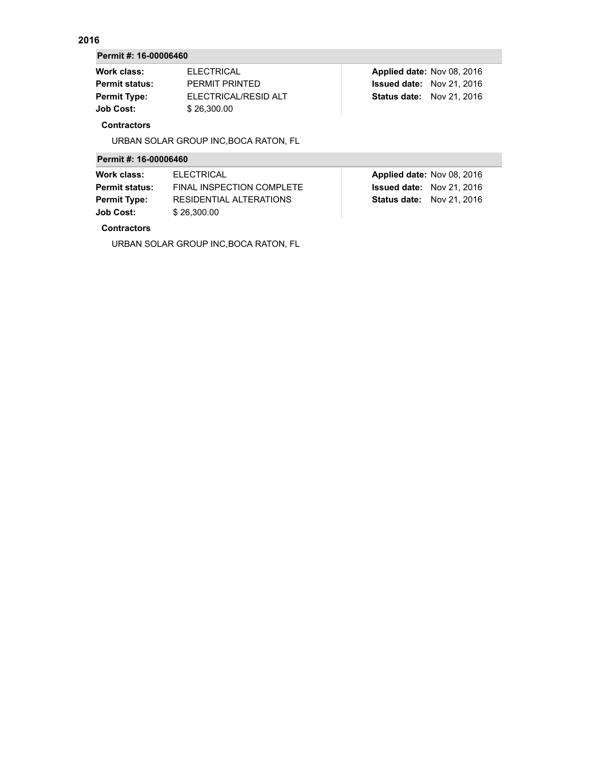## **2016**

#### **Permit #: 16-00006460**

| <b>Work class:</b>    | <b>ELECTRICAL</b>    | Applied date: Nov 08, 2016       |
|-----------------------|----------------------|----------------------------------|
| <b>Permit status:</b> | PFRMIT PRINTFD       | <b>Issued date:</b> Nov 21, 2016 |
| <b>Permit Type:</b>   | ELECTRICAL/RESID ALT | <b>Status date: Nov 21, 2016</b> |
| Job Cost:             | \$26,300.00          |                                  |
|                       |                      |                                  |

#### **Contractors**

URBAN SOLAR GROUP INC,BOCA RATON, FL

## **Permit #: 16-00006460**

| Work class:           | <b>ELECTRICAL</b>         | Applied date: Nov 08, 2016       |
|-----------------------|---------------------------|----------------------------------|
| <b>Permit status:</b> | FINAL INSPECTION COMPLETE | <b>Issued date:</b> Nov 21, 2016 |
| <b>Permit Type:</b>   | RESIDENTIAL ALTERATIONS   | <b>Status date: Nov 21, 2016</b> |
| <b>Job Cost:</b>      | \$26,300.00               |                                  |
|                       |                           |                                  |

# **Contractors**

URBAN SOLAR GROUP INC,BOCA RATON, FL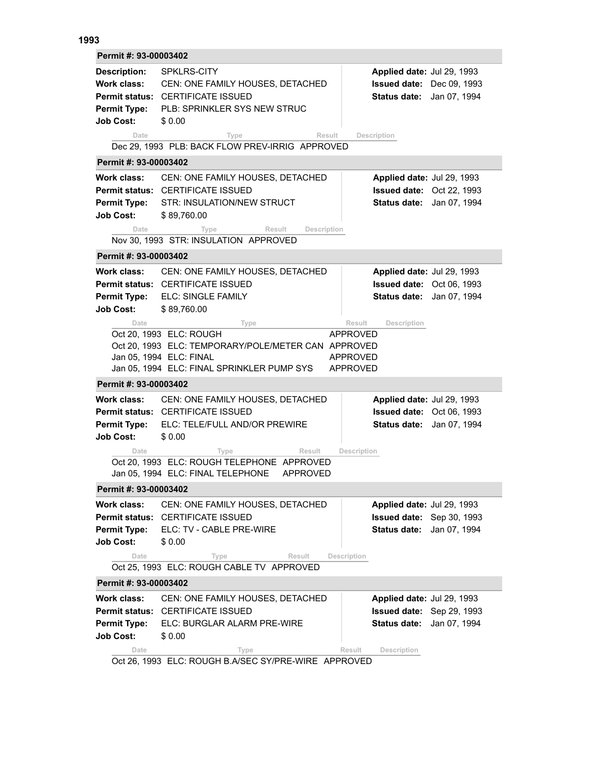## **1993**

| <b>Description:</b><br>SPKLRS-CITY<br>Applied date: Jul 29, 1993<br><b>Work class:</b><br>CEN: ONE FAMILY HOUSES, DETACHED<br>Issued date: Dec 09, 1993<br>Permit status: CERTIFICATE ISSUED<br>Status date: Jan 07, 1994<br><b>PLB: SPRINKLER SYS NEW STRUC</b><br><b>Permit Type:</b><br><b>Job Cost:</b><br>\$0.00<br>Result<br>Description<br>Date<br>Type<br>Dec 29, 1993 PLB: BACK FLOW PREV-IRRIG APPROVED<br>Permit #: 93-00003402<br>Work class:<br>CEN: ONE FAMILY HOUSES, DETACHED<br>Applied date: Jul 29, 1993<br><b>Permit status: CERTIFICATE ISSUED</b><br>Issued date: Oct 22, 1993<br><b>Permit Type:</b><br>STR: INSULATION/NEW STRUCT<br>Status date: Jan 07, 1994 |  |  |  |  |
|----------------------------------------------------------------------------------------------------------------------------------------------------------------------------------------------------------------------------------------------------------------------------------------------------------------------------------------------------------------------------------------------------------------------------------------------------------------------------------------------------------------------------------------------------------------------------------------------------------------------------------------------------------------------------------------|--|--|--|--|
|                                                                                                                                                                                                                                                                                                                                                                                                                                                                                                                                                                                                                                                                                        |  |  |  |  |
|                                                                                                                                                                                                                                                                                                                                                                                                                                                                                                                                                                                                                                                                                        |  |  |  |  |
| <b>Job Cost:</b><br>\$89,760.00<br>Result<br>Description<br>Date<br>Type<br>Nov 30, 1993 STR: INSULATION APPROVED                                                                                                                                                                                                                                                                                                                                                                                                                                                                                                                                                                      |  |  |  |  |
| Permit #: 93-00003402                                                                                                                                                                                                                                                                                                                                                                                                                                                                                                                                                                                                                                                                  |  |  |  |  |
| Work class:<br>CEN: ONE FAMILY HOUSES, DETACHED<br>Applied date: Jul 29, 1993<br>Permit status: CERTIFICATE ISSUED<br>Issued date: Oct 06, 1993<br><b>Permit Type:</b><br>ELC: SINGLE FAMILY<br><b>Status date:</b><br>Jan 07, 1994<br><b>Job Cost:</b><br>\$89,760.00<br>Date<br>Result<br>Description<br>Type                                                                                                                                                                                                                                                                                                                                                                        |  |  |  |  |
| Oct 20, 1993 ELC: ROUGH<br>APPROVED<br>Oct 20, 1993 ELC: TEMPORARY/POLE/METER CAN APPROVED<br>Jan 05, 1994 ELC: FINAL<br><b>APPROVED</b><br>Jan 05, 1994 ELC: FINAL SPRINKLER PUMP SYS<br>APPROVED                                                                                                                                                                                                                                                                                                                                                                                                                                                                                     |  |  |  |  |
| Permit #: 93-00003402                                                                                                                                                                                                                                                                                                                                                                                                                                                                                                                                                                                                                                                                  |  |  |  |  |
| Work class:<br>CEN: ONE FAMILY HOUSES, DETACHED<br>Applied date: Jul 29, 1993<br><b>Permit status: CERTIFICATE ISSUED</b><br><b>Issued date: Oct 06, 1993</b><br><b>Permit Type:</b><br>ELC: TELE/FULL AND/OR PREWIRE<br><b>Status date:</b><br>Jan 07, 1994<br><b>Job Cost:</b><br>\$0.00                                                                                                                                                                                                                                                                                                                                                                                             |  |  |  |  |
| Result<br>Date<br>Description<br>Type<br>Oct 20, 1993 ELC: ROUGH TELEPHONE APPROVED<br>Jan 05, 1994 ELC: FINAL TELEPHONE<br><b>APPROVED</b>                                                                                                                                                                                                                                                                                                                                                                                                                                                                                                                                            |  |  |  |  |
| Permit #: 93-00003402                                                                                                                                                                                                                                                                                                                                                                                                                                                                                                                                                                                                                                                                  |  |  |  |  |
| Work class:<br>CEN: ONE FAMILY HOUSES, DETACHED<br>Applied date: Jul 29, 1993<br><b>Permit status: CERTIFICATE ISSUED</b><br><b>Issued date:</b> Sep 30, 1993<br><b>Permit Type:</b><br>ELC: TV - CABLE PRE-WIRE<br><b>Status date:</b><br>Jan 07, 1994<br><b>Job Cost:</b><br>\$0.00<br><b>Result</b><br>Description<br>Date<br>Type                                                                                                                                                                                                                                                                                                                                                  |  |  |  |  |
| Oct 25, 1993 ELC: ROUGH CABLE TV APPROVED                                                                                                                                                                                                                                                                                                                                                                                                                                                                                                                                                                                                                                              |  |  |  |  |
| Permit #: 93-00003402<br>Work class:<br>CEN: ONE FAMILY HOUSES, DETACHED<br>Applied date: Jul 29, 1993<br>Permit status: CERTIFICATE ISSUED<br><b>Issued date:</b> Sep 29, 1993<br><b>Permit Type:</b><br>ELC: BURGLAR ALARM PRE-WIRE<br><b>Status date:</b><br>Jan 07, 1994<br><b>Job Cost:</b><br>\$0.00<br>Description<br>Date<br>Result<br>Type                                                                                                                                                                                                                                                                                                                                    |  |  |  |  |

Oct 26, 1993 ELC: ROUGH B.A/SEC SY/PRE-WIRE APPROVED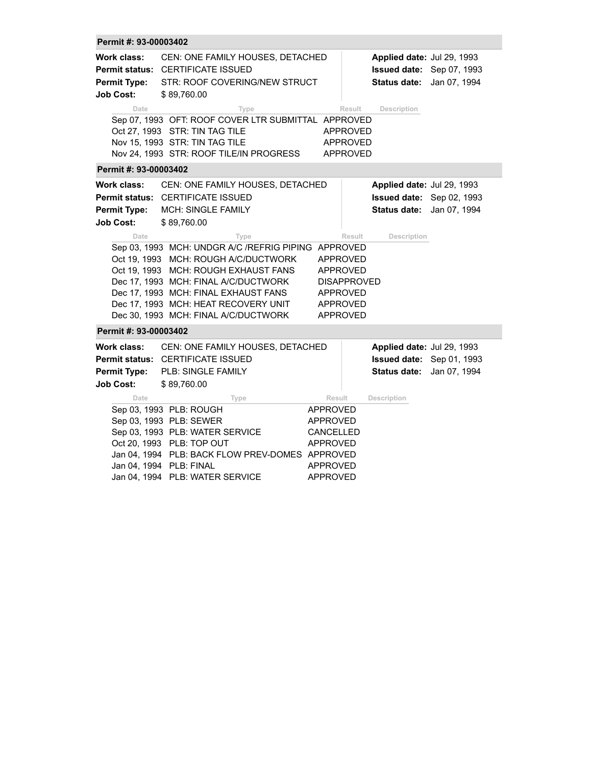| Permit #: 93-00003402                                         |                                                                                                                                                                                                                                                                                                             |                                                                                                               |                                                                                |              |
|---------------------------------------------------------------|-------------------------------------------------------------------------------------------------------------------------------------------------------------------------------------------------------------------------------------------------------------------------------------------------------------|---------------------------------------------------------------------------------------------------------------|--------------------------------------------------------------------------------|--------------|
| <b>Work class:</b><br><b>Permit Type:</b><br><b>Job Cost:</b> | CEN: ONE FAMILY HOUSES, DETACHED<br>Permit status: CERTIFICATE ISSUED<br>STR: ROOF COVERING/NEW STRUCT<br>\$89,760.00                                                                                                                                                                                       |                                                                                                               | Applied date: Jul 29, 1993<br>Issued date: Sep 07, 1993<br><b>Status date:</b> | Jan 07, 1994 |
| Date                                                          | Type<br>Sep 07, 1993 OFT: ROOF COVER LTR SUBMITTAL APPROVED<br>Oct 27, 1993 STR: TIN TAG TILE<br>Nov 15, 1993 STR: TIN TAG TILE<br>Nov 24, 1993 STR: ROOF TILE/IN PROGRESS                                                                                                                                  | Result<br><b>APPROVED</b><br><b>APPROVED</b><br><b>APPROVED</b>                                               | Description                                                                    |              |
| Permit #: 93-00003402                                         |                                                                                                                                                                                                                                                                                                             |                                                                                                               |                                                                                |              |
| Work class:<br><b>Permit Type:</b><br><b>Job Cost:</b>        | CEN: ONE FAMILY HOUSES, DETACHED<br><b>Permit status: CERTIFICATE ISSUED</b><br><b>MCH: SINGLE FAMILY</b><br>\$89,760.00                                                                                                                                                                                    |                                                                                                               | Applied date: Jul 29, 1993<br>Issued date: Sep 02, 1993<br><b>Status date:</b> | Jan 07, 1994 |
| Date                                                          | Type<br>Sep 03, 1993 MCH: UNDGR A/C /REFRIG PIPING APPROVED<br>Oct 19, 1993 MCH: ROUGH A/C/DUCTWORK<br>Oct 19, 1993 MCH: ROUGH EXHAUST FANS<br>Dec 17, 1993 MCH: FINAL A/C/DUCTWORK<br>Dec 17, 1993 MCH: FINAL EXHAUST FANS<br>Dec 17, 1993 MCH: HEAT RECOVERY UNIT<br>Dec 30, 1993 MCH: FINAL A/C/DUCTWORK | Result<br><b>APPROVED</b><br><b>APPROVED</b><br><b>DISAPPROVED</b><br>APPROVED<br>APPROVED<br><b>APPROVED</b> | Description                                                                    |              |
| Permit #: 93-00003402                                         |                                                                                                                                                                                                                                                                                                             |                                                                                                               |                                                                                |              |
| Work class:<br><b>Permit Type:</b><br><b>Job Cost:</b>        | CEN: ONE FAMILY HOUSES, DETACHED<br>Permit status: CERTIFICATE ISSUED<br>PLB: SINGLE FAMILY<br>\$89,760.00                                                                                                                                                                                                  |                                                                                                               | Applied date: Jul 29, 1993<br>Issued date: Sep 01, 1993<br><b>Status date:</b> | Jan 07, 1994 |
| Date                                                          | Type<br>Sep 03, 1993 PLB: ROUGH<br>Sep 03, 1993 PLB: SEWER<br>Sep 03, 1993 PLB: WATER SERVICE<br>Oct 20, 1993 PLB: TOP OUT<br>Jan 04, 1994 PLB: BACK FLOW PREV-DOMES APPROVED<br>Jan 04, 1994 PLB: FINAL<br>Jan 04, 1994 PLB: WATER SERVICE                                                                 | Result<br><b>APPROVED</b><br>APPROVED<br>CANCELLED<br><b>APPROVED</b><br><b>APPROVED</b><br>APPROVED          | Description                                                                    |              |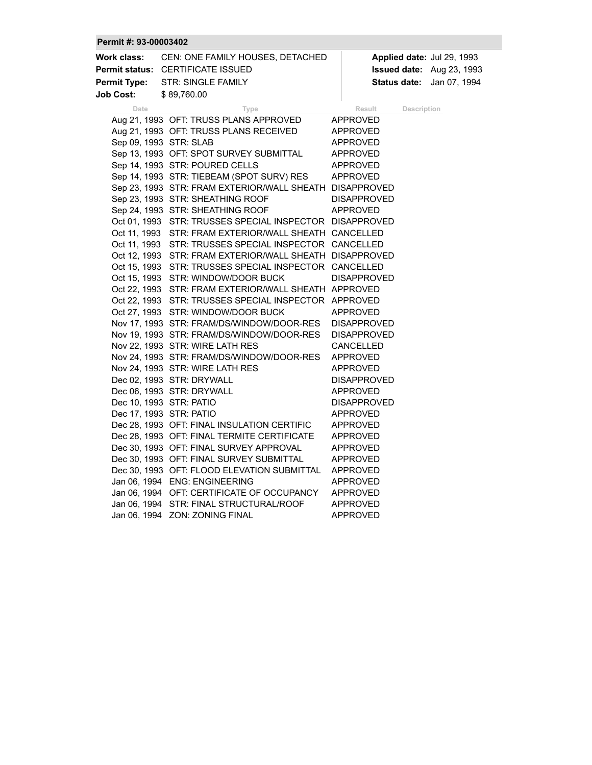## **Permit #: 93-00003402**

| Work class:           | CEN: ONE FAMILY HOUSES, DETACHED                        | Applied date: Jul 29, 1993 |
|-----------------------|---------------------------------------------------------|----------------------------|
| <b>Permit status:</b> | <b>CERTIFICATE ISSUED</b>                               | Issued date: Aug 23, 1993  |
| <b>Permit Type:</b>   | <b>STR: SINGLE FAMILY</b>                               | Status date: Jan 07, 1994  |
| <b>Job Cost:</b>      | \$89,760.00                                             |                            |
| Date                  | Type                                                    | Result<br>Description      |
|                       | Aug 21, 1993 OFT: TRUSS PLANS APPROVED                  | APPROVED                   |
|                       | Aug 21, 1993 OFT: TRUSS PLANS RECEIVED                  | APPROVED                   |
|                       | Sep 09, 1993 STR: SLAB                                  | <b>APPROVED</b>            |
|                       | Sep 13, 1993 OFT: SPOT SURVEY SUBMITTAL                 | APPROVED                   |
|                       | Sep 14, 1993 STR: POURED CELLS                          | APPROVED                   |
|                       | Sep 14, 1993 STR: TIEBEAM (SPOT SURV) RES               | APPROVED                   |
|                       | Sep 23, 1993 STR: FRAM EXTERIOR/WALL SHEATH DISAPPROVED |                            |
|                       | Sep 23, 1993 STR: SHEATHING ROOF                        | <b>DISAPPROVED</b>         |
|                       | Sep 24, 1993 STR: SHEATHING ROOF                        | APPROVED                   |
|                       | Oct 01, 1993 STR: TRUSSES SPECIAL INSPECTOR DISAPPROVED |                            |
|                       | Oct 11, 1993 STR: FRAM EXTERIOR/WALL SHEATH CANCELLED   |                            |
|                       | Oct 11, 1993 STR: TRUSSES SPECIAL INSPECTOR CANCELLED   |                            |
|                       | Oct 12, 1993 STR: FRAM EXTERIOR/WALL SHEATH DISAPPROVED |                            |
|                       | Oct 15, 1993 STR: TRUSSES SPECIAL INSPECTOR CANCELLED   |                            |
|                       | Oct 15, 1993 STR: WINDOW/DOOR BUCK                      | <b>DISAPPROVED</b>         |
|                       | Oct 22, 1993 STR: FRAM EXTERIOR/WALL SHEATH APPROVED    |                            |
|                       | Oct 22, 1993 STR: TRUSSES SPECIAL INSPECTOR APPROVED    |                            |
|                       | Oct 27, 1993 STR: WINDOW/DOOR BUCK                      | APPROVED                   |
|                       | Nov 17, 1993 STR: FRAM/DS/WINDOW/DOOR-RES               | <b>DISAPPROVED</b>         |
|                       | Nov 19, 1993 STR: FRAM/DS/WINDOW/DOOR-RES               | <b>DISAPPROVED</b>         |
|                       | Nov 22, 1993 STR: WIRE LATH RES                         | CANCELLED                  |
|                       | Nov 24, 1993 STR: FRAM/DS/WINDOW/DOOR-RES               | APPROVED                   |
|                       | Nov 24, 1993 STR: WIRE LATH RES                         | <b>APPROVED</b>            |
|                       | Dec 02, 1993 STR: DRYWALL                               | <b>DISAPPROVED</b>         |
|                       | Dec 06, 1993 STR: DRYWALL                               | <b>APPROVED</b>            |
|                       | Dec 10, 1993 STR: PATIO                                 | <b>DISAPPROVED</b>         |
|                       | Dec 17, 1993 STR: PATIO                                 | APPROVED                   |
|                       | Dec 28, 1993 OFT: FINAL INSULATION CERTIFIC             | APPROVED                   |
|                       | Dec 28, 1993 OFT: FINAL TERMITE CERTIFICATE             | APPROVED                   |
|                       | Dec 30, 1993 OFT: FINAL SURVEY APPROVAL                 | APPROVED                   |
|                       | Dec 30, 1993 OFT: FINAL SURVEY SUBMITTAL                | APPROVED                   |
|                       | Dec 30, 1993 OFT: FLOOD ELEVATION SUBMITTAL             | APPROVED                   |
|                       | Jan 06, 1994 ENG: ENGINEERING                           | <b>APPROVED</b>            |
|                       | Jan 06, 1994 OFT: CERTIFICATE OF OCCUPANCY              | APPROVED                   |
|                       | Jan 06, 1994 STR: FINAL STRUCTURAL/ROOF                 | <b>APPROVED</b>            |
|                       | Jan 06, 1994 ZON: ZONING FINAL                          | <b>APPROVED</b>            |